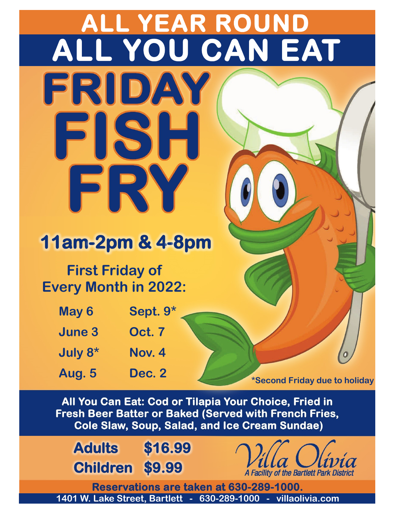## **ALL YEAR ROUND ALL YOU CAN EAT** FRIDAY

### **11am-2pm & 4-8pm**

IST:

### **First Friday of Every Month in 2022:**

FRY

| May 6                  | Sept. 9*                   |
|------------------------|----------------------------|
| <b>June 3</b>          | <b>Oct. 7</b>              |
| July 8 <sup>*</sup>    | Nov. 4                     |
| $A$ <sub>110</sub> $E$ | $\Gamma_{\Omega}$ $\Omega$ |

**Aug. 5 Dec. 2 \*Second Friday due to holiday**

All You Can Eat: Cod or Tilapia Your Choice, Fried in Fresh Beer Batter or Baked (Served with French Fries, **Cole Slaw, Soup, Salad, and Ice Cream Sundae)** 

**Adults \$16.99 Children \$9.99**



Reservations are taken at 630-289-1000. **1401 W. Lake Street, Bartlett - 630-289-1000 - villaolivia.com**